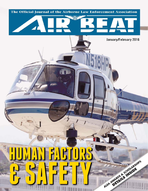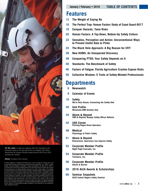

*On the cover: A California Highway Patrol Air Operations Unit helicopter lands on the heli-pad at the Los Angeles (CA) Police Department Air Support Division-hosted Annual Chili Fly-In 2015. Courtesy Eric Jensen.*

*Above: Courtesy of Eric Jensen.*

Air Beat magazine is published bimonthly, plus a bonus Conference Preview Issue and<br>annual Buyer's Guide, by the Airborne Law Enforcement Association, Inc. (ALEA), a public<br>benefit, non-profit California corporation. Annua the educational and air safety objectives advanced for public safety aviation. © Copyright<br>2016 by the Airborne Law Enforcement Association. All rights reserved. Reproduction of this journal in whole or in part without written permission from the Editor is prohibited. Product<br>and corporate names mentioned in this journal are the trademarks or registered trademarks of their respective companies. The views, thoughts, and opinions expressed herein do not<br>necessarily represent those of the ALEA, its Board of Directors, staff or membership; nor shalt<br>their publication imply endorsement o therein. ALEA disclaims all warranties, express or implied, and makes no judgment regarding<br>the accuracy of posted information. In no event will ALEA be liable to any party for any direct, *indirect, special or consequential damages resulting from the publication or any subsequent public distribution thereof.*

**January / February • 2016 TABLE OF CONTENTS**

# **Features**

- **12 The Weight of Saying No**
- **16 The Perfect Trap: Human Factors Study of Coast Guard 6017**
- **18 Conquer Hazards, Tame Risks**
- **20 Human Factors: A Top-Down, Bottom-Up Safety Culture**
- **22 Sensation, Perception and Action: Unconventional Ways to Present Useful Data to Pilots**
- **24 The Black Hole Approach: A Big Reason for CFIT**
- **28 New HUMS: An Unexpected Discovery**
- **38 Conquering PTSD: Your Safety Depends on It**
- **40 Standards: The Benchmark of Safety**
- **46 Factors of Fatigue: Florida Agriculture Crashes Expose Risks**
- **50 Collective Wisdom: 5 Traits of Safety-Minded Professionals**

# **Departments**

- **6 Newswatch**
- **9 Calendar of Events**
- **10 Safety We're Only Human: Connecting the Safety Dots**
- **30 Unit Profile Minnesota DNR Aviation Unit**
- **34 Above & Beyond SMS & Beyond: Basque Safety Officer Reflects**
- **42 UAS Corner Policing Rogue Drone Operators**
- **48 Medical Physiology of Public Safety**
- **51 Above & Beyond Distractions: Awareness Can Improve Safety**
- **52 Corporate Member Profile Night Flight Concepts, Inc.**
- **54 Corporate Member Profile Transaero, Inc.**
- **56 Corporate Member Profile Gibson & Barnes**
- **58 2016 ALEA Awards & Scholarships**
- **60 Seminar Snapshots ALEA Central Region Safety Seminar**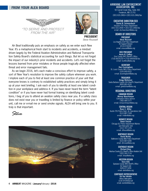# **FROM YOUR ALEA BOARD**





**PRESIDENT** *Steve Roussell*

*Air Beat* traditionally puts an emphasis on safety as we enter each New Year. It's a metaphorical fresh start to incidents and accidents, a mindset driven largely by the Federal Aviation Administration and National Transportation Safety Board's statistical accounting for such things. But let us not forget the impact of our industry's prior incidents and accidents. Let's not forget the lessons learned from prior mistakes or those people tragically affected when threat and error management fails.

As we begin 2016, let's each make a conscious effort to improve safety, a sort of New Year's resolution to improve the safety culture wherever you work. I implore each of you to find at least one common practice of your unit that everyone knows is contrary to established safety practices and simply bring it up at your next briefing. I ask each of you to identify at least one latent condition in your workplace and address it. If you have never heard the term "latent condition" or if you have never had formal training on identifying latent conditions, I beg of you to attend an aviation safety class near you. If a safety class does not exist near you or travelling is limited by finance or policy within your unit, call me or e-mail me or send smoke signals. ALEA will bring one to you. It truly is that important.

*Steve*



#### **AIRBORNE LAW ENFORCEMENT ASSOCIATION, INC.**

50 Carroll Creek Way, Suite 260 Frederick, MD 21701 (301) 631-2406 • (301) 631-2466/fax

#### **EXECUTIVE DIRECTOR/CEO**

**Daniel B. Schwarzbach** Houston (TX) Police Department (301) 631-2406 • (301) 631-2466/fax e-mail: *dschwarzbach@alea.org*

**BOARD OF DIRECTORS**

**PRESIDENT Steve Roussell** Los Angeles (CA) Police Department Air Support Division (213) 473-8180 e-mail: *sroussell@alea.org*

#### **VICE PRESIDENT**

**Kevin R. Caffery** Erie County (NY) Sheriff's Office (716) 662-6150 • (716) 648-6658/fax e-mail: *kcaffery@alea.org*

#### **SECRETARY**

**Dan Cunningham** St. Louis County (MO) Police Department (314) 640-5022 e-mail: *dcunningham@alea.org*

#### **TREASURER**

**Gregg Weitzman** Santa Barbara County (CA) Sheriff's Department (805) 681-4100 e-mail: *gweitzman@alea.org*

#### **REGIONAL DIRECTORS**

**CANADIAN REGION Murray Maschmeyer** Edmonton Police Service (780) 984-1577 e-mail: *mmaschmeyer@alea.org*

#### **CENTRAL REGION**

**Ryan C. Miller** Austin (TX) Police Dept. Air Operations Unit (512) 887-7328 e-mail: *rmiller@alea.org*

**MIDWEST REGION Delon Freund** Chicago (IL) Police Department Marine and Helicopter Unit (312) 747-1376

e-mail: *dfreund@alea.org*

**NORTHEAST REGION David McVey**

Baltimore County (MD) Police Department (410) 887-0280 email: *dmcvey@alea.org*

#### **SOUTHEAST REGION**

**Richard Bray** Alachua County (FL) Sheriff's Office Aviation Unit (352) 260-7116 e-mail: *rbray@alea.org*

#### **WESTERN REGION**

**Dave Ellis** Spokane County (WA) Sheriff's Office Air Support Unit (509) 477-3290 e-mail: *dellis@alea.org*

#### **CORPORATE REPRESENTATIVE**

**Ed Van Winkle** Airbus Helicopters (214) 470-9436/cell e-mail: *ewinkle@alea.org*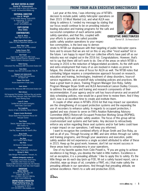#### **AIR BEAT EDITOR-IN-CHIEF Daniel B. Schwarzbach**

(301) 631-2406 • (301) 631-2466/fax e-mail: *dschwarzbach@alea.org*

### **EDITORIAL DIRECTOR**

**Lisa A. Wright** 1120 Pinellas Bayway South #205 St. Petersburg, FL 33715 (727) 343-5600 e-mail: *airbeat@alea.org*

> **COPY EDITOR Shea Gibbs**

#### **CONTRIBUTORS Adam B. Aldous**

Night Flight Concepts, Inc.

**Senior Corporal Mark Colborn** Dallas (TX) Police Department Helicopter Unit

**Steve "Elroy" Colby** Lieutenant Colonel, U.S. Air Force (retired)

**Dudley Crosson, PhD** ALEA Aeromedical Liaison

**Alan Frazier** Deputy Sheriff, Grand Forks (ND) County Sheriff's Office, Assistant Professor, University of North Dakota's School of Aerospace Sciences

**Robert Geving** Enforcement Pilot, Minnesota DNR Enforcement Aviation Unit

**Tania Glenn** President, Tania Glenn and Associates (TGA), PA

> **Sergeant Josh Goldschmidt** Chief Pilot, Portland (OR) Police Bureau Air Support Unit

**Trooper Chris Hecht** Arizona Department of Public Safety

#### **Jason Jensen**

Enforcement Pilot, Minnesota DNR Enforcement Aviation Unit

#### **Matt Johnson**

FAA Designated Pilot Examiner, FAASTeam Rep and member of the United States Helicopter Safety Team (USHST) Human Factors Working Group

> **Lance D. Leone** Certified Aircraft Accident Investigator, United States Coast Guard **Dan Longbrake**

Director of Sales & Marketing, Gibson & Barnes

**Sergeant Joseba Mendizabal** Basque (Spain) Police Department Rescue Unit Helicopter Section

**Terry Palmer**

Director, Helicopter Flight Training Center, Metro Aviation, Inc. **Lieutenant Tom Parker** Chief Pilot, Wayne County (NC) Sheriff's Office

**Bryan Smith** ALEA Safety Program Manager

**Don Roby** ALEA Training Program Manger

**Stan Rose** HAI Director of Safety Outreach

**Robert Sumwalt**

Member, National Transportation Safety Board **Michael K. Walsh** Sales Manager Pilot Equipment, Transaero, Inc.

### **Additional photography courtesy of:**

Jamie Bungard, Jeramy Butler, Robert Denny, Chad Dollick, Delon Freund, Eric Jensen, Minnesota DNR Enforcement Aviation Unit, Dirk Odendaal, Timothy Pruitt, Jason Sams, Kevin Stein, David Youngblut

#### **ADVERTISING**

**Benay Osborne**<br>50 Carroll Creek Way, Suite 260<br>Frederick, MD 21701<br>(301) 631-2406 • (301) 631-2466/fax e-mail: *bosborne@alea.org*

**GRAPHIC DESIGN & PRODUCTION**

**Wright Publishing Group, Inc.** <sup>1120</sup> Pinellas Bayway South #205 St. Petersburg, FL 33715 (727) 343-5600 • www.wrightgrp.com

# **FROM YOUR ALEA EXECUTIVE DIRECTOR/CEO**

Last year at this time, I was informing you of NTSB's decision to include public safety helicopter operations on their 2015 10 Most Wanted List, and what ALEA was doing to address it. I ended my message by stating that our focus would continue to be on providing industryleading education and training programs for the safe and successful completion of each airborne public safety operation, and that this, coupled with your efforts to provide the safest possible public safety aviation operations to your respec-



**EXECUTIVE DIRECTOR/CEO** *Daniel B. Schwarzbach*

tive communities, is the best way to demonstrate to NTSB our displeasure with their targeting of public helicopter operations and to ensure that we are not on this or any other "most wanted" list in the future. I am happy to report that our collective efforts have paid off as our industry was not singled out in the 2016 list. Congratulations. However, that's not to say that there still isn't work to do. One of the areas on which NTSB is focusing in 2016 is the reduction of fatigue-related accidents. As the shift work and extra employment that many of us are involved in makes us prone to fatigue, this should be an area of focus for ALEA as well. The NTSB notes that combating fatigue requires a comprehensive approach focused on research, education and training, technologies, treatment of sleep disorders, hours-ofservice regulations, and on-and-off duty scheduling policies and practices. We have a great team in place, Training Program Manager Don Roby, Safety Program Manager Bryan Smith and ALEA Aeromedical Liaison Dudley Crosson, to address the education and training and research components of their recommendation. If your agency and/or unit has hours-of-service and on-and-off duty scheduling policies, now would be a good time to review them. And if they don't, now is an excellent time to create and institute them.

A couple of other areas in NTSB's 2016 list that may impact our operations are the strengthening of occupant protection systems and the expanding the use of recorders to enhance safety. In regards to occupant protection, I applied and was chosen to serve on FAA's Aviation Rulemaking Advisory Committee (ARAC) Rotorcraft Occupant Protection Working Group (ROPWG), representing ALEA and public safety aviation. The focus of this group will be crash-resistant seat systems and fuel tanks. Any decision to retroactively enforce any action regarding these seat systems and/or fuel tanks could have a major impact on our operations. I will keep you informed.

I want to recognize the combined efforts of Bryan Smith and Don Roby, as well as all of you. Through focusing on IIMC and wire strikes through our safety and training programs, and through your awareness and execution, public safety aviation did not experience a single accident attributed to either of these in 2015. Keep up the good work; however, don't let our recent success in these areas lead to complacency in your operations.

One of my favorite quotes from Colin Powell is, "If you are going to achieve excellence in big things, you develop the habit in little matters. Excellence is not an exception, it is a prevailing attitude." I like to apply this to safety. It's the little things we do each day (pick up FOD, fill out a safety hazard report, use a checklist, wipe up drops of oil, complete a FRAT, etc.) that make safety the prevailing attitude in our operations. And through that prevailing attitude, we achieve excellence. Here's to a safe and productive 2016.

*Dan*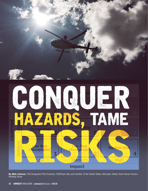

By Matt Johnson, FAA Designated Pilot Examiner, FAASTeam Rep and member of the United States Helicopter Safety Team Human Factors *Working Group*